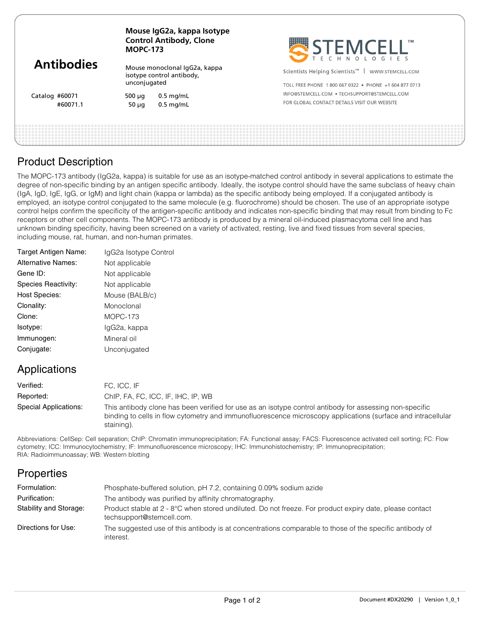|                   | Mouse IgG2a, kappa Isotype<br><b>Control Antibody, Clone</b><br><b>MOPC-173</b> |             | SEEMCELL"                                                     |  |
|-------------------|---------------------------------------------------------------------------------|-------------|---------------------------------------------------------------|--|
| <b>Antibodies</b> | Mouse monoclonal IgG2a, kappa<br>isotype control antibody,<br>unconjugated      |             | Scientists Helping Scientists <sup>™</sup>   WWW.STEMCELL.COM |  |
|                   |                                                                                 |             | TOLL FREE PHONE 1800 667 0322 • PHONE +1 604 877 0713         |  |
| Catalog #60071    | 500 $\mu$ q                                                                     | $0.5$ mg/mL | INFO@STEMCELL.COM . TECHSUPPORT@STEMCELL.COM                  |  |
| #60071.1          | $50 \mu q$                                                                      | $0.5$ mg/mL | FOR GLOBAL CONTACT DETAILS VISIT OUR WEBSITE                  |  |
|                   |                                                                                 |             |                                                               |  |
|                   |                                                                                 |             |                                                               |  |

#### Product Description

The MOPC-173 antibody (IgG2a, kappa) is suitable for use as an isotype-matched control antibody in several applications to estimate the degree of non-specific binding by an antigen specific antibody. Ideally, the isotype control should have the same subclass of heavy chain (IgA, IgD, IgE, IgG, or IgM) and light chain (kappa or lambda) as the specific antibody being employed. If a conjugated antibody is employed, an isotype control conjugated to the same molecule (e.g. fluorochrome) should be chosen. The use of an appropriate isotype control helps confirm the specificity of the antigen-specific antibody and indicates non-specific binding that may result from binding to Fc receptors or other cell components. The MOPC-173 antibody is produced by a mineral oil-induced plasmacytoma cell line and has unknown binding specificity, having been screened on a variety of activated, resting, live and fixed tissues from several species, including mouse, rat, human, and non-human primates.

| Target Antigen Name:      | IgG2a Isotype Control |
|---------------------------|-----------------------|
| <b>Alternative Names:</b> | Not applicable        |
| Gene ID:                  | Not applicable        |
| Species Reactivity:       | Not applicable        |
| <b>Host Species:</b>      | Mouse (BALB/c)        |
| Clonality:                | Monoclonal            |
| Clone:                    | $MOPC-173$            |
| Isotype:                  | IgG2a, kappa          |
| Immunogen:                | Mineral oil           |
| Conjugate:                | Unconjugated          |
|                           |                       |

## Applications

| Verified:             | FC. ICC. IF                                                                                                                                                                                                                           |
|-----------------------|---------------------------------------------------------------------------------------------------------------------------------------------------------------------------------------------------------------------------------------|
| Reported:             | ChIP, FA, FC, ICC, IF, IHC, IP, WB                                                                                                                                                                                                    |
| Special Applications: | This antibody clone has been verified for use as an isotype control antibody for assessing non-specific<br>binding to cells in flow cytometry and immunofluorescence microscopy applications (surface and intracellular<br>staining). |

Abbreviations: CellSep: Cell separation; ChIP: Chromatin immunoprecipitation; FA: Functional assay; FACS: Fluorescence activated cell sorting; FC: Flow cytometry; ICC: Immunocytochemistry; IF: Immunofluorescence microscopy; IHC: Immunohistochemistry; IP: Immunoprecipitation; RIA: Radioimmunoassay; WB: Western blotting

## **Properties**

| Formulation:           | Phosphate-buffered solution, pH 7.2, containing 0.09% sodium azide                                                                   |
|------------------------|--------------------------------------------------------------------------------------------------------------------------------------|
| Purification:          | The antibody was purified by affinity chromatography.                                                                                |
| Stability and Storage: | Product stable at 2 - 8°C when stored undiluted. Do not freeze. For product expiry date, please contact<br>techsupport@stemcell.com. |
| Directions for Use:    | The suggested use of this antibody is at concentrations comparable to those of the specific antibody of<br>interest.                 |